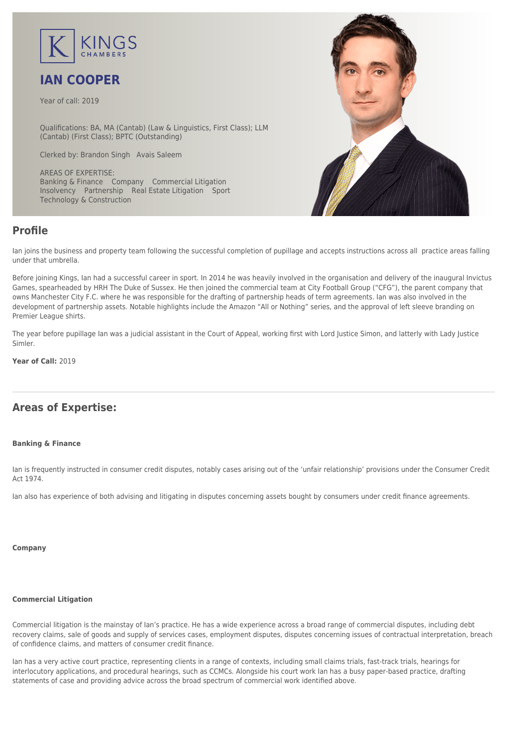

# **IAN COOPER**

Year of call: 2019

Qualifications: BA, MA (Cantab) (Law & Linguistics, First Class); LLM (Cantab) (First Class); BPTC (Outstanding)

Clerked by: [Brandon Singh](mailto:bsingh@kingschambers.com) [Avais Saleem](mailto:asaleem@kingschambers.com)

AREAS OF EXPERTISE: Banking & Finance Company Commercial Litigation Insolvency Partnership Real Estate Litigation Sport Technology & Construction



## **Profile**

Ian joins the business and property team following the successful completion of pupillage and accepts instructions across all practice areas falling under that umbrella.

Before joining Kings, Ian had a successful career in sport. In 2014 he was heavily involved in the organisation and delivery of the inaugural Invictus Games, spearheaded by HRH The Duke of Sussex. He then joined the commercial team at City Football Group ("CFG"), the parent company that owns Manchester City F.C. where he was responsible for the drafting of partnership heads of term agreements. Ian was also involved in the development of partnership assets. Notable highlights include the Amazon "All or Nothing" series, and the approval of left sleeve branding on Premier League shirts.

The year before pupillage Ian was a judicial assistant in the Court of Appeal, working first with Lord Justice Simon, and latterly with Lady Justice Simler.

**Year of Call:** 2019

## **Areas of Expertise:**

#### **[Banking & Finance](#page--1-0)**

Ian is frequently instructed in consumer credit disputes, notably cases arising out of the 'unfair relationship' provisions under the Consumer Credit Act 1974.

Ian also has experience of both advising and litigating in disputes concerning assets bought by consumers under credit finance agreements.

#### **[Company](#page--1-0)**

#### **[Commercial Litigation](#page--1-0)**

Commercial litigation is the mainstay of Ian's practice. He has a wide experience across a broad range of commercial disputes, including debt recovery claims, sale of goods and supply of services cases, employment disputes, disputes concerning issues of contractual interpretation, breach of confidence claims, and matters of consumer credit finance.

Ian has a very active court practice, representing clients in a range of contexts, including small claims trials, fast-track trials, hearings for interlocutory applications, and procedural hearings, such as CCMCs. Alongside his court work Ian has a busy paper-based practice, drafting statements of case and providing advice across the broad spectrum of commercial work identified above.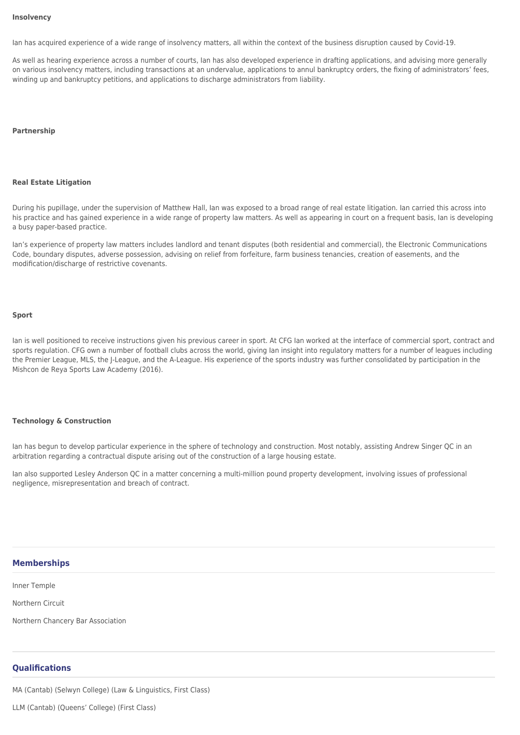#### **[Insolvency](#page--1-0)**

Ian has acquired experience of a wide range of insolvency matters, all within the context of the business disruption caused by Covid-19.

As well as hearing experience across a number of courts, Ian has also developed experience in drafting applications, and advising more generally on various insolvency matters, including transactions at an undervalue, applications to annul bankruptcy orders, the fixing of administrators' fees, winding up and bankruptcy petitions, and applications to discharge administrators from liability.

#### **[Partnership](#page--1-0)**

#### **[Real Estate Litigation](#page--1-0)**

During his pupillage, under the supervision of Matthew Hall, Ian was exposed to a broad range of real estate litigation. Ian carried this across into his practice and has gained experience in a wide range of property law matters. As well as appearing in court on a frequent basis, Ian is developing a busy paper-based practice.

Ian's experience of property law matters includes landlord and tenant disputes (both residential and commercial), the Electronic Communications Code, boundary disputes, adverse possession, advising on relief from forfeiture, farm business tenancies, creation of easements, and the modification/discharge of restrictive covenants.

#### **[Sport](#page--1-0)**

Ian is well positioned to receive instructions given his previous career in sport. At CFG Ian worked at the interface of commercial sport, contract and sports regulation. CFG own a number of football clubs across the world, giving Ian insight into regulatory matters for a number of leagues including the Premier League, MLS, the J-League, and the A-League. His experience of the sports industry was further consolidated by participation in the Mishcon de Reya Sports Law Academy (2016).

#### **[Technology & Construction](#page--1-0)**

Ian has begun to develop particular experience in the sphere of technology and construction. Most notably, assisting Andrew Singer QC in an arbitration regarding a contractual dispute arising out of the construction of a large housing estate.

Ian also supported Lesley Anderson QC in a matter concerning a multi-million pound property development, involving issues of professional negligence, misrepresentation and breach of contract.

#### **Memberships**

Inner Temple

Northern Circuit

Northern Chancery Bar Association

### **Qualifications**

MA (Cantab) (Selwyn College) (Law & Linguistics, First Class)